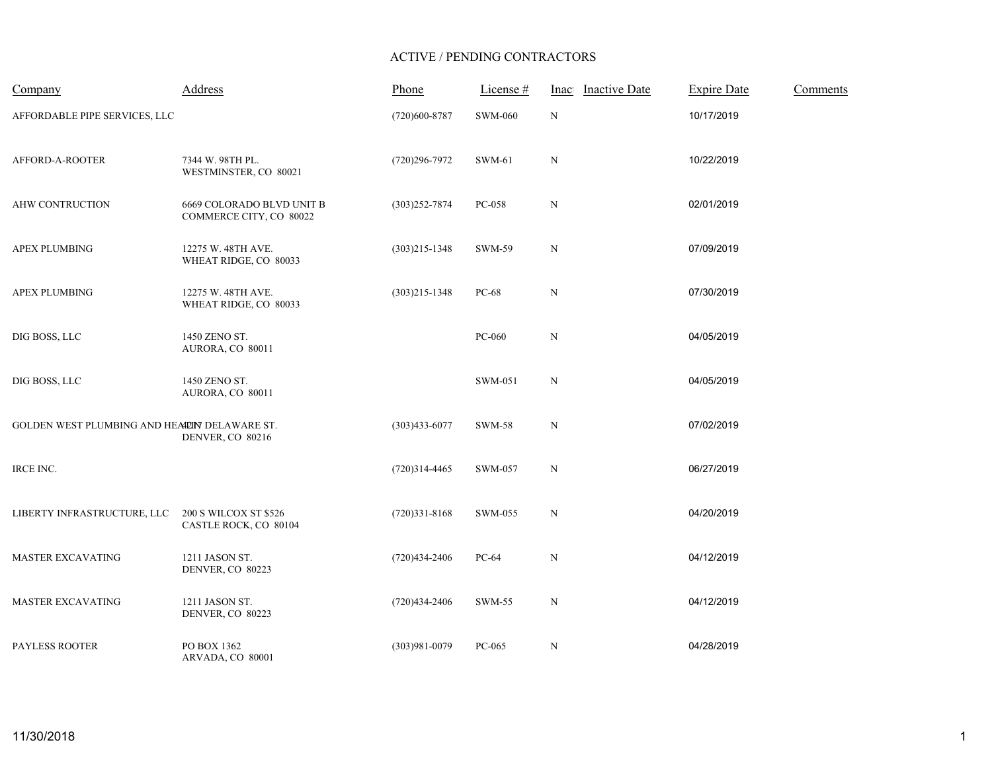## ACTIVE / PENDING CONTRACTORS

| Company                                       | Address                                              | Phone             | License #      | <b>Inactive Date</b><br>Inac | <b>Expire Date</b> | Comments |
|-----------------------------------------------|------------------------------------------------------|-------------------|----------------|------------------------------|--------------------|----------|
| AFFORDABLE PIPE SERVICES, LLC                 |                                                      | (720)600-8787     | <b>SWM-060</b> | ${\bf N}$                    | 10/17/2019         |          |
| AFFORD-A-ROOTER                               | 7344 W. 98TH PL.<br>WESTMINSTER, CO 80021            | $(720)296 - 7972$ | SWM-61         | N                            | 10/22/2019         |          |
| AHW CONTRUCTION                               | 6669 COLORADO BLVD UNIT B<br>COMMERCE CITY, CO 80022 | $(303)252 - 7874$ | PC-058         | $\mathbf N$                  | 02/01/2019         |          |
| APEX PLUMBING                                 | 12275 W. 48TH AVE.<br>WHEAT RIDGE, CO 80033          | $(303)215 - 1348$ | SWM-59         | ${\bf N}$                    | 07/09/2019         |          |
| <b>APEX PLUMBING</b>                          | 12275 W. 48TH AVE.<br>WHEAT RIDGE, CO 80033          | $(303)215 - 1348$ | PC-68          | $\mathbf N$                  | 07/30/2019         |          |
| DIG BOSS, LLC                                 | 1450 ZENO ST.<br>AURORA, CO 80011                    |                   | PC-060         | ${\bf N}$                    | 04/05/2019         |          |
| DIG BOSS, LLC                                 | 1450 ZENO ST.<br>AURORA, CO 80011                    |                   | SWM-051        | $\mathbf N$                  | 04/05/2019         |          |
| GOLDEN WEST PLUMBING AND HEAPEIN DELAWARE ST. | DENVER, CO 80216                                     | $(303)433 - 6077$ | <b>SWM-58</b>  | $\mathbf N$                  | 07/02/2019         |          |
| IRCE INC.                                     |                                                      | $(720)314-4465$   | SWM-057        | N                            | 06/27/2019         |          |
| LIBERTY INFRASTRUCTURE, LLC                   | 200 S WILCOX ST \$526<br>CASTLE ROCK, CO 80104       | $(720)331 - 8168$ | SWM-055        | N                            | 04/20/2019         |          |
| <b>MASTER EXCAVATING</b>                      | 1211 JASON ST.<br>DENVER, CO 80223                   | $(720)434-2406$   | PC-64          | $\mathbf N$                  | 04/12/2019         |          |
| <b>MASTER EXCAVATING</b>                      | 1211 JASON ST.<br>DENVER, CO 80223                   | $(720)434 - 2406$ | SWM-55         | ${\bf N}$                    | 04/12/2019         |          |
| PAYLESS ROOTER                                | PO BOX 1362<br>ARVADA, CO 80001                      | (303)981-0079     | PC-065         | $\mathbf N$                  | 04/28/2019         |          |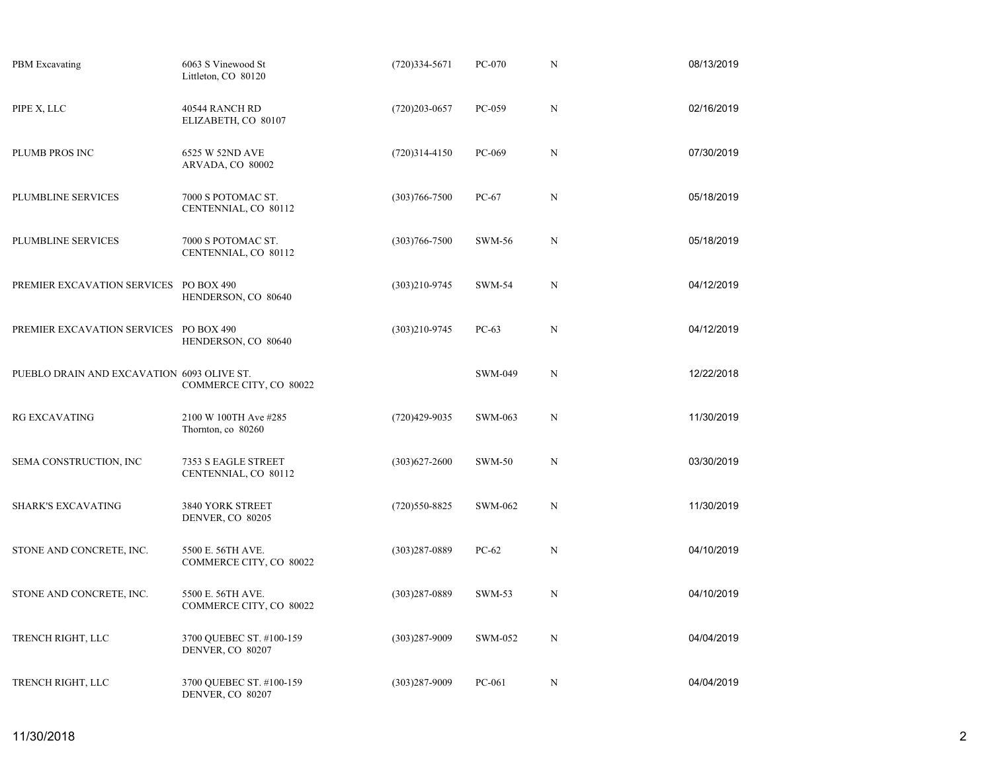| <b>PBM</b> Excavating                      | 6063 S Vinewood St<br>Littleton, CO 80120    | $(720)334 - 5671$ | PC-070        | N           | 08/13/2019 |
|--------------------------------------------|----------------------------------------------|-------------------|---------------|-------------|------------|
| PIPE X, LLC                                | 40544 RANCH RD<br>ELIZABETH, CO 80107        | $(720)203 - 0657$ | PC-059        | $\mathbf N$ | 02/16/2019 |
| PLUMB PROS INC                             | 6525 W 52ND AVE<br>ARVADA, CO 80002          | $(720)314-4150$   | PC-069        | N           | 07/30/2019 |
| PLUMBLINE SERVICES                         | 7000 S POTOMAC ST.<br>CENTENNIAL, CO 80112   | $(303)766 - 7500$ | $PC-67$       | $\mathbf N$ | 05/18/2019 |
| PLUMBLINE SERVICES                         | 7000 S POTOMAC ST.<br>CENTENNIAL, CO 80112   | $(303)766 - 7500$ | <b>SWM-56</b> | N           | 05/18/2019 |
| PREMIER EXCAVATION SERVICES                | PO BOX 490<br>HENDERSON, CO 80640            | $(303)210 - 9745$ | <b>SWM-54</b> | $\mathbf N$ | 04/12/2019 |
| PREMIER EXCAVATION SERVICES PO BOX 490     | HENDERSON, CO 80640                          | $(303)210-9745$   | $PC-63$       | N           | 04/12/2019 |
| PUEBLO DRAIN AND EXCAVATION 6093 OLIVE ST. | COMMERCE CITY, CO 80022                      |                   | SWM-049       | N           | 12/22/2018 |
| <b>RG EXCAVATING</b>                       | 2100 W 100TH Ave #285<br>Thornton, co 80260  | $(720)429-9035$   | SWM-063       | N           | 11/30/2019 |
| SEMA CONSTRUCTION, INC                     | 7353 S EAGLE STREET<br>CENTENNIAL, CO 80112  | $(303)627 - 2600$ | <b>SWM-50</b> | N           | 03/30/2019 |
| <b>SHARK'S EXCAVATING</b>                  | 3840 YORK STREET<br>DENVER, CO 80205         | $(720)550-8825$   | SWM-062       | N           | 11/30/2019 |
| STONE AND CONCRETE, INC.                   | 5500 E. 56TH AVE.<br>COMMERCE CITY, CO 80022 | $(303)287 - 0889$ | $PC-62$       | N           | 04/10/2019 |
| STONE AND CONCRETE, INC.                   | 5500 E. 56TH AVE.<br>COMMERCE CITY, CO 80022 | $(303)287 - 0889$ | SWM-53        | N           | 04/10/2019 |
| TRENCH RIGHT, LLC                          | 3700 QUEBEC ST. #100-159<br>DENVER, CO 80207 | $(303)287 - 9009$ | SWM-052       | N           | 04/04/2019 |
| TRENCH RIGHT, LLC                          | 3700 QUEBEC ST. #100-159<br>DENVER, CO 80207 | $(303)287 - 9009$ | PC-061        | N           | 04/04/2019 |